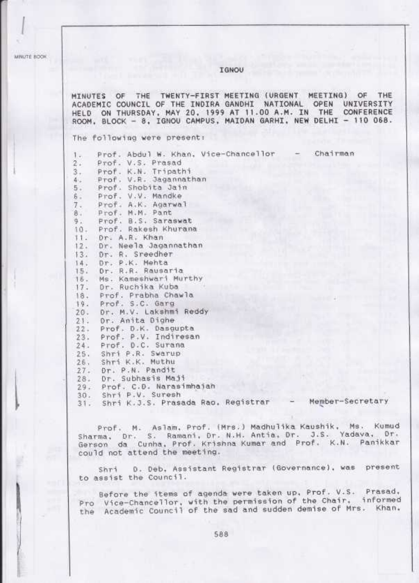MINUTE BOOK

## **IGNOU**

MINUTES OF THE TWENTY-FIRST MEETING (URGENT MEETING) OF THE ACADEMIC COUNCIL OF THE INDIRA GANDHI NATIONAL OPEN<br>HELD ON THURSDAY, MAY 20, 1999 AT 11.00 A.M. IN THE UNIVERSITY CONFERENCE ROOM, BLOCK - 8, IGNOU CAMPUS, MAIDAN GARHI, NEW DELHI - 110 068.

The following were present:

Prof. Abdul W. Khan, Vice-Chancellor Chairman  $1 -$ Prof. V.S. Prasad э. Prof. K.N. Tripathi  $3.1$ Prof. V.R. Jagannathan<br>Prof. Shobita Jain  $4 -$ 5. Prof. V.V. Mandke ŝ. Prof. A.K. Agarwal  $7.$ Prof. M.M. Pant  $B$ . Prof. B.S. Saraswat 9. Prof. Rakesh Khurana  $10.$ Dr. A.R. Khan  $11.$ Dr. Neela Jacannathan  $12.$ Dr. R. Sreedher  $13.$ Dr. P.K. Mehta 14. Dr. R.R. Rausaria  $15.$ Ms. Kameshwari Murthy  $15 -$ Dr. Ruchika Kuba  $17.$ Prof. Prabha Chawla  $18.$ Prof. S.C. Garg 19. Dr. M.V. Lakshmi Reddy  $20.$ Or. Anita Dighe  $21.$ Prof. D.K. Dasqupta  $22.$ Prof. P.V. Indiresan  $23.$  $24.$ Prof. D.C. Surana Shri P.R. Swarup  $25.$ Shri K.K. Muthu 26. 27. Dr. P.N. Pandit Dr. Subhasis Maji  $28.$ Prof. C.D. Narasimhajah  $29.$ Shri P.V. Suresh  $30.$ 31. Shri K.J.S. Prasada Rao, Registrar - Member-Secretary

Prof. M. Aslam, Prof. (Mrs.) Madhulika Kaushik, Ms. Kumud Sharma, Dr. S. Ramani, Dr. N.H. Antia, Dr. J.S. Yadava, Dr. Gerson da Cunha, Prof. Krishna Kumar and Prof. K.N. Panikkar could not attend the meeting.

D. Deb. Assistant Registrar (Governance), was present Shri to assist the Council.

Sefore the items of agenda were taken up, Prof. V.S. Prasad, Pro Vice-Chancellor, with the permission of the Chair, informed the Academic Council of the sad and sudden demise of Mrs. Khan.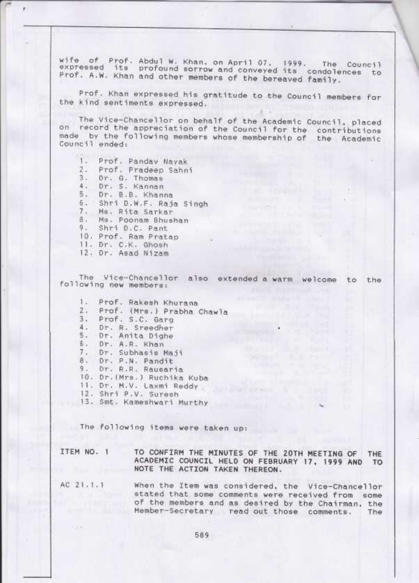wife of Prof. Abdul W. Khan, on April 07, 1999. The Council<br>expressed its profound sorrow and conveyed its condolences to<br>Prof. A.W. Khan and other members of the bereaved family. condolences to Prof. A.W. Khan and other members of the bereaved family.

Prof. Khan expressed his gratitude to the Council members for<br>the kind sentiments expressed.

The Vice-Chancellor on behalf of the Academic Council, placed<br>on record the appreciation of the Council for the contributions<br>made by the following members whose membership of the Academic Council ended:

Prof. Pandav Nayak<br>Prof. Pradeep Sahni<br>Dr. G. Thomas<br>Dr. S. Kannan<br>Dr. B.B. Khanna Dr. B.B. Khanna<br>Shri D.W.F. Raja Singh Ms. Rita Sarkar Ms. Poonam Bhushan<br>Shri D.C. Pant 9. Shri D.C. Pant<br>10. Prof. Ram Pratap 11. Dr. C.K. Ghosh 12. Dr. Asad Nizam 1  $2 3 -$ 4  $5.$ s 7 o  $9 -$ 

The Vice-Chancellor also extended a warm welcome to the following new members:

1. Prof. Rakesh Khurana Prof. (Mrs.) Prabha Chawla Prof. S.C. Garg 3. Prof. S.C. Garg<br>4. Dr. R. Sreedher<br>5. Dr. A.R. Khan<br>6. Dr. A.R. Khan<br>7. Dr. Subhasis Maji<br>8. Dr. P.N. Pandit<br>9. Dr. R.R. Rausaria Dr.(Mrs.) Ruchika Kuba<br>Dr. M.V. Laxmi Reddy<br>Shri P.V. Suresh 3. Smt. Kameshwari Murthy 10. Dr. (Mrs.) Ruchika Kuba , 1 L  $\overline{c}$ 4  $\overline{5}$ U  $\frac{1}{8}$ 9

The following items were taken up:

ITEM NO. <sup>1</sup> TO CONFIRM THE MINUTES OF THE zOTH MEETING OF THE ACACIEMIC COUNCIL HELD ON FEBRUARY I7, 1999 AND TO NOTE THE ACTION TAKEN THEREON.

When the Item was considered, the Vice-Chancellor stated that some comments were received from some of the members and as desired by the Chairman, the Member-Secretary read out those comments. The  $AC 21.1.1$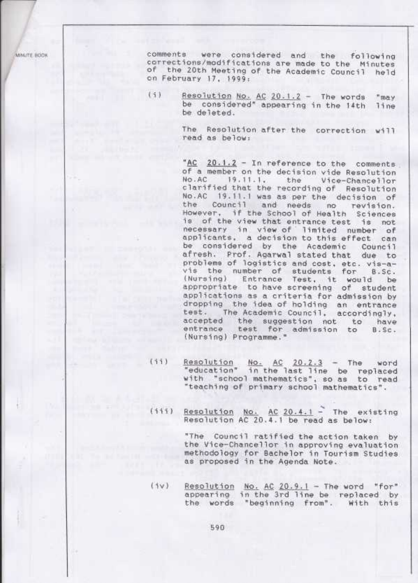MINI/TE BOOK

comments were considered and the following corrections/modifications are made to the Minutes of the 20th Meeting of the Academic Council held on February 17, 1999:

 $(1)$ Resolution No. AC 20.1.2 - The words "may be considered" appearing in the 14th line be deleted.

> The Resolution after the correction will read as below:

"AC 20.1.2 - In reference to the comments of a member on the decision vide Resolution No.AC 19.11.1, the Vice-Chancellor clarified that the recording of Resolution No.AC 19.11.1 was as per the decision of the Council and needs no revision. However, if the School of Health Sciences is of the view that entrance test is not necessary in view of limited number of<br>applicants, a decision to this effect can be considered by the Academic Council afresh. Prof. Agarwal stated that due to problems of logistics and cost, etc. vis-avis the number of students for 8.Sc.<br>(Nursing) Entrance Test, it would be appropriate to have screening of student applications as a criteria for admission by dropping the idea of holding an entrance test. The Academic Council. accordingly, accepted the suggestion not to have entrance test for admission to B.Sc. (Nursing) Programme."

- $(11)$ Resolution No. AC 20.2.3 - The word<br>"education" in the last line be replaced with "school mathematics", so as to read "teaching of primary school mathematics".
	- Resolution No. AC 20.4.1 The existing  $(111)$ Resolution AC 20.4.1 be read as below:

"The Council ratified the action taken the Vice-Chancellor in approving evaluation methodology for Bachelor in Tourism Studies as proposed in the Agenda Note.

 $(1v)$ Resolution No. AC 20.9.1 - The word "for" appearing in the 3rd line be replaced by the words "beginning from". With this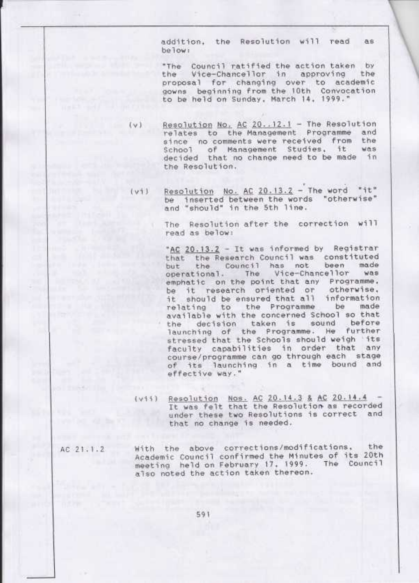addition, the Resolution will read as be low:

"The Council ratified the action taken by the Vice-Chancellor in approving the proposal for changing over to academic gowns beginning from the 10th Convocation to be held on Sunday, March 14, 1999."

Resolution No. AC 20..12.1 - The Resolution relates to the Management Programme and since no comments were received from the School of Management Studies, it  $W@S$ decided that no change need to be made in the Resolution.

 $(v)$ 

Resolution No. AC 20.13.2 - The word "it"  $(v+1)$ be inserted between the words "otherwise" and "should" in the 5th line.

> The Resolution after the correction will read as below:

"AC 20.13.2 - It was informed by Registrar that the Research Council was constituted the Council has not been made but operational. The Vice-Chancellor WAS emphatic on the point that any Programme. be it research oriented or otherwise, should be ensured that all information it. relating to the Programme be made available with the concerned School so that the decision taken is sound before<br>launching of the Programme. He further the stressed that the Schools should weigh its faculty capabilities in order that any course/programme can go through each stage of its launching in a time bound and effective way."

- (vii) Resolution Nos. AC 20.14.3 & AC 20.14.4 It was felt that the Resolution as recorded under these two Resolutions is correct and that no change is needed.
- With the above corrections/modifications, the AC 21.1.2 Academic Council confirmed the Minutes of its 20th meeting held on February 17, 1999. The Council also noted the action taken thereon.

591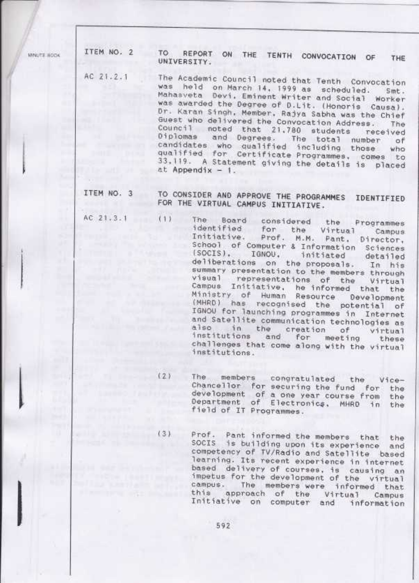MINUTE BOOK

ITEM NO. 2 TO REPORT ON THE TENTH CONVOCATION OF THE UNIVERSITY. AC 21.2.1 The Academic Council noted that Tenth Convocation was held on March 14, 1999 as scheduled. Smt. Mahasveta Devi, Eminent Writer and Social Worker was awarded the Degree of D.Lit. (Honoris Causa). Dr. Karan Singh, Member, Rajya Sabha was the Chief Guest who delivered the Convocation Address. The Council noted that 21,780 students received Diplomas and Degrees. The total number of<br>candidates who qualified including those who qualified for Certificate Programmes, comes to 33.119. A Statement giving the details is placed  $at Appendix - 1.$ ITEM NO. 3 TO CONSIDER AND APPROVE THE PROGRAMMES IDENTIFIED FOR THE VIRTUAL CAMPUS INITIATIVE. AC 21.3.1 (1) The Board considered the Programmes identified for the Virtual Campus<br>Initiative. Prof. M.M. Pant, Director, School of Computer & Information Sciences (SOCIS), IGNOU, initiated detailed<br>deliberations on the proposals. In his summary presentation to the members through visual representations of the Virtual Campus Initiative, he informed that the<br>Ministry of Human Resource Development (MHRD) has recognised the potential of IGNOU for launching programmes in Internet and Satellite communication technologies as also in the creation of virtual<br>institutions and for meeting these<br>challenges that come along with the virtual institutions. (2) The members congratulated the Vice-Chancellor for securing the fund for the development of a one year course from the Department of Electronics, MHRD in the field of IT Programmes.  $(3)$ Prof. Pant informed the members that the<br>SOCIS is building upon its experience and competency of TV/Radio and Satellite based learning. Its recent experience in internet based delivery of courses, is causing an<br>impetus for the development of the virtual campus. The members were informed that this approach of the Virtual Campus<br>Initiative on computer and information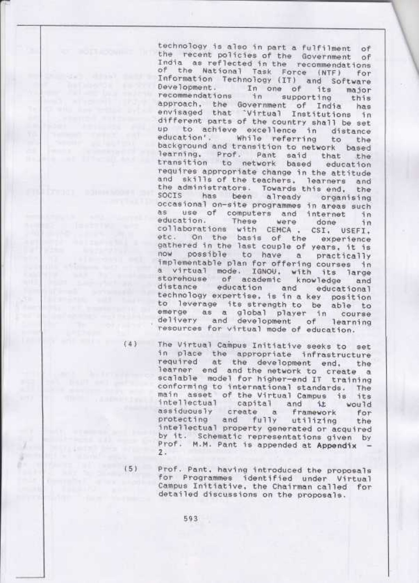technology is also in part a fulfilment of the recent policies of the Government of India as reflected in the recommendations of the National Task Force (NTF) for Information Technology (IT) and Software Development. In one of its major recommendations in supporting this approach, the Government of India has envisaged that 'Virtual Institutions in different parts of the country shall be set up to achieve excellence in distance education', While referring to the background and transition to network based learning, Prof. Pant said that the<br>transition to network based education requires appropriate change in the attitude and skills of the teachers, learners and the administrators. Towards this end, the socis has been already organising occasional on-site programmes in areas such as use of computers and internet in education. These were education. These were done in<br>collaborations with CEMCA , CSI, USEFI, etc. On the basis of the experience gathered in the last couple of years, it is now possible to have a practically implementable plan for offering courses in a virtual mode. IGNOU, with its large<br>storehouse of academic knowledge and distance education and educational technology expertise, is in a key position to leverage its strength to be able to emerge as a global player in course delivery and development of learning resources for virtual mode of education.

 $(4)$ 

**TECH TESTIVE WAS** 

nie a obecne sprawnika

**Services'** Present

The Virtual Campus Initiative seeks to set in place the appropriate infrastructure required at the development end, the learner end and the network to create a scalable model for higher-end IT training conforming to international standards. The main asset of the Virtual Campus is its intellectual capital and it would assiduously create a framework for protecting and fully utilizing the intellectual property generated or acquired by it. Schematic representations given by Prof. M.M. Pant is appended at Appendix - $2.$ 

 $(5)$ 

Prof. Pant, having introduced the proposals for Programmes identified under Virtual Campus Initiative, the Chairman called for detailed discussions on the proposals.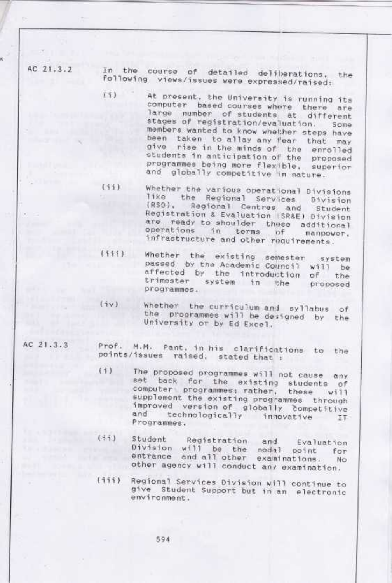AC 21.3.2

In the course of detailed deliberations, the following views/issues were exprested/raised:

 $(1)$ 

At present, the University is running its computer based courses where there are large number of students at different stages of registration/evaluation. Some members wanted to know whether steps have been taken to allay any fear that may give rise in the minds of the enrolled students in anticipation of the proposed programmes being more flexible, superior and globally competitive in nature.

 $(11)$ Whether the various operational Divisions like the Regional Services Division (RSO), Regional Centres and Student Registration & Evaluation (SR&E) Division are ready to shoulder these additional<br>operations in terms of manpower. infrastructure and other requirements.

- Whether the existing semester system<br>passed by the Academic Council will be  $(111)$ affected by the introduction of the trimester system in the proposed programmes.
- Whether the curriculum and syllabus of  $(iv)$ the programmes will be designed by the University or by Ed Excel.
- AC 21.3.3 Prof. M.M. Pant, in his clarifications to the points/issues raised, stated that :
	- $(i)$ The proposed programmes will not cause any set back for the existing students of computer programmes; rather, these will supplement the existing programmes through improved version of globally competitive and technologically innovative IT Programmes.
	- $(iii)$ Student Registration and Evaluation Division will be the nodal point for entrance and all other examinations. No. other agency will conduct any examination.
	- Regional Services Division will continue to  $(111)$ give Student Support but in an electronic environment.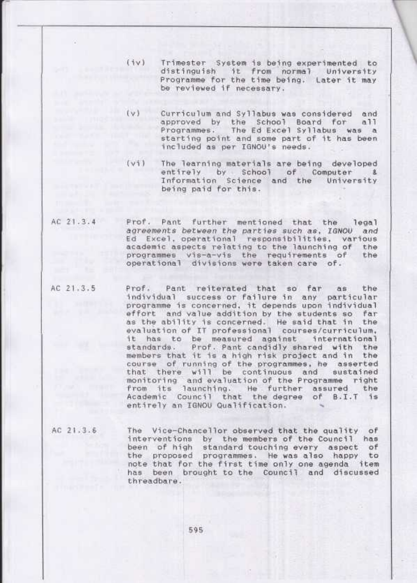- $(iv)$ Trimester System is being experimented to distinguish it from normal University Programme for the time being. Later it may be reviewed if necessary.
- $(v)$ Curriculum and Syllabus was considered and approved by the School Board for all<br>Programmes. The Ed-Excel-Syllabus was a starting point and some part of it has been included as per IGNOU's needs.
- $(v_1)$ The learning materials are being developed entirely by School of Computer & Information Science and the University being paid for this.
- Prof. Pant further mentioned that the legal AC 21.3.4 agreements between the parties such as, IGNOU and<br>Ed Excel, operational responsibilities, various academic aspects relating to the launching of the programmes vis-a-vis the requirements of the operational divisions were taken care of.
- AC 21.3.5 Prof. Pant reiterated that so far as the individual success or failure in any particular programme is concerned, it depends upon individual effort and value addition by the students so far as the ability is concerned. He said that in the<br>evaluation of IT professional courses/curriculum, it has to be measured against international Prof. Pant candidly shared with the standards. members that it is a high risk project and in the course of running of the programmes, he asserted that there will be continuous and sustained<br>monitoring and evaluation of the Programme right<br>from its launching. He further assured the<br>Academic Council that the degree of B.I.T is entirely an IGNOU Qualification.
- The Vice-Chancellor observed that the quality of AC 21.3.6 interventions by the members of the Council has<br>been of high standard touching every aspect of the proposed programmes. He was also happy to note that for the first time only one agenda item has been brought to the Council and discussed threadbare.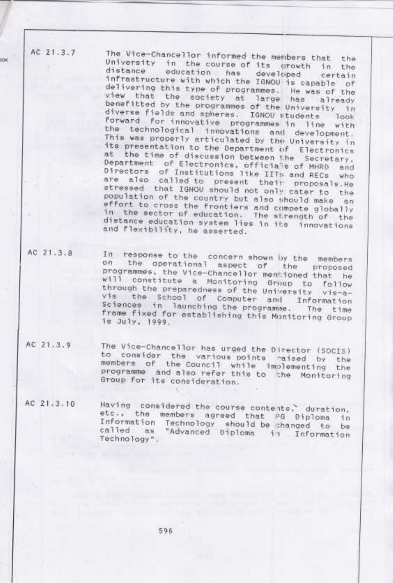AC 21.3.7

**XDC** 

The Vice-Chancellor informed the members that the University in the course of its growth in the distance education has developed certain<br>infrastructure with which the IGNOU is capable of delivering this type of programmes. He was of the view that the society at large has already benefitted by the programmes of the University in diverse fields and spheres. IGNOU students look forward for innovative programmes in line with the technological innovations and development. This was properly articulated by the University in its presentation to the Department of Electronics at the time of discussion between the Secretary. Department of Electronics, officials of MHRD and Directors of Institutions like IITs and RECs who are also called to present their proposals. He stressed that IGNOU should not only cater to the population of the country but also should make an effort to cross the frontiers and compete globally in the sector of education. The strength of the distance education system lies in its innovations and flexibility, he asserted.

AC 21.3.8

In response to the concern shown by the members on the operational aspect of the proposed programmes, the Vice-Chancellor mentioned that he will constitute a Monitoring Group to follow through the preparedness of the University vis-avis the School of Computer and Information Sciences in launching the programme. The time frame fixed for establishing this Monitoring Group is July. 1999.

AC 21.3.9 The Vice-Chancellor has urged the Director (SOCIS) to consider the various points raised by the<br>members of the Council while implementing the programme and also refer this to the Monitoring Group for its consideration.

AC 21.3.10 Having considered the course contents, duration, etc., the members agreed that PG Diploma in Information Technology should be shanged to be<br>called as "Advanced Diploma in Information Technology".